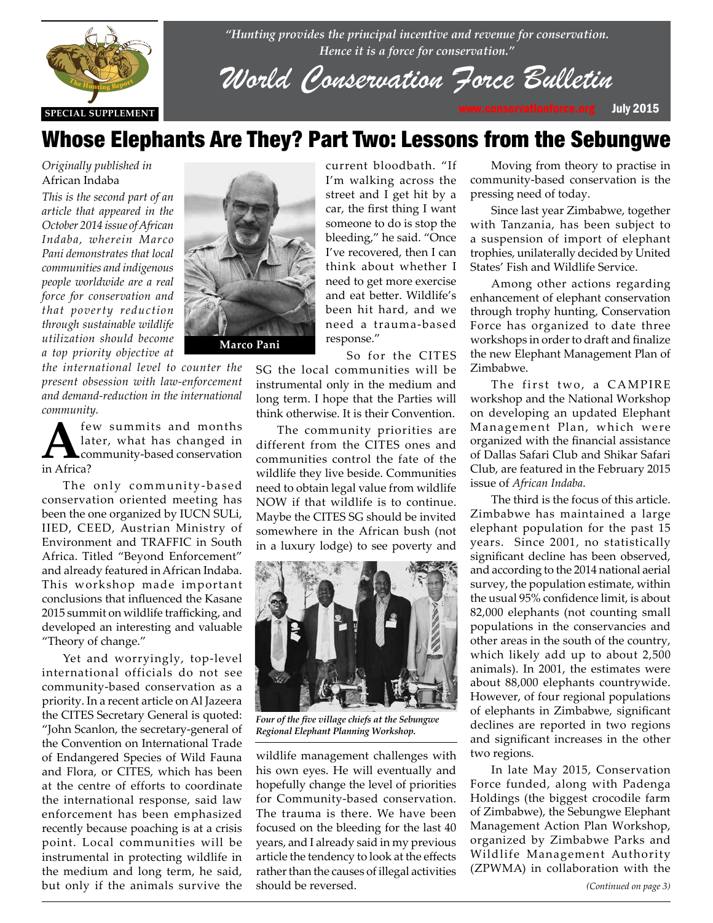

*"Hunting provides the principal incentive and revenue for conservation. Hence it is a force for conservation."*

*World Conservation Force Bulletin*

## Whose Elephants Are They? Part Two: Lessons from the Sebungwe

*Originally published in*  African Indaba

*This is the second part of an article that appeared in the October 2014 issue of African Indaba, wherein Marco Pani demonstrates that local communities and indigenous people worldwide are a real force for conservation and that poverty reduction through sustainable wildlife utilization should become a top priority objective at* 

*the international level to counter the present obsession with law-enforcement*  present obsession with the enforcement<br>and demand-reduction in the international *community.*

**A** few summits and months<br>later, what has changed in<br>in Africa? later, what has changed in in Africa?

> The only community-based conservation oriented meeting has been the one organized by IUCN SULi, IIED, CEED, Austrian Ministry of Environment and TRAFFIC in South Africa. Titled "Beyond Enforcement" and already featured in African Indaba. This workshop made important conclusions that influenced the Kasane 2015 summit on wildlife trafficking, and developed an interesting and valuable "Theory of change."

> Yet and worryingly, top-level international officials do not see community-based conservation as a priority. In a recent article on Al Jazeera the CITES Secretary General is quoted: "John Scanlon, the secretary-general of the Convention on International Trade of Endangered Species of Wild Fauna and Flora, or CITES, which has been at the centre of efforts to coordinate the international response, said law enforcement has been emphasized recently because poaching is at a crisis point. Local communities will be instrumental in protecting wildlife in the medium and long term, he said, but only if the animals survive the



current bloodbath. "If I'm walking across the street and I get hit by a car, the first thing I want someone to do is stop the bleeding," he said. "Once I've recovered, then I can think about whether I need to get more exercise and eat better. Wildlife's been hit hard, and we need a trauma-based response."

So for the CITES SG the local communities will be instrumental only in the medium and long term. I hope that the Parties will

The community priorities are different from the CITES ones and communities control the fate of the wildlife they live beside. Communities need to obtain legal value from wildlife NOW if that wildlife is to continue. Maybe the CITES SG should be invited somewhere in the African bush (not in a luxury lodge) to see poverty and

think otherwise. It is their Convention.



*Four of the five village chiefs at the Sebungwe Regional Elephant Planning Workshop.*

wildlife management challenges with his own eyes. He will eventually and hopefully change the level of priorities for Community-based conservation. The trauma is there. We have been focused on the bleeding for the last 40 years, and I already said in my previous article the tendency to look at the effects rather than the causes of illegal activities should be reversed.

Moving from theory to practise in community-based conservation is the pressing need of today.

Since last year Zimbabwe, together with Tanzania, has been subject to a suspension of import of elephant trophies, unilaterally decided by United States' Fish and Wildlife Service.

Among other actions regarding enhancement of elephant conservation through trophy hunting, Conservation Force has organized to date three workshops in order to draft and finalize the new Elephant Management Plan of Zimbabwe.

The first two, a CAMPIRE workshop and the National Workshop on developing an updated Elephant Management Plan, which were organized with the financial assistance of Dallas Safari Club and Shikar Safari Club, are featured in the February 2015 issue of *African Indaba*.

The third is the focus of this article. Zimbabwe has maintained a large elephant population for the past 15 years. Since 2001, no statistically significant decline has been observed, and according to the 2014 national aerial survey, the population estimate, within the usual 95% confidence limit, is about 82,000 elephants (not counting small populations in the conservancies and other areas in the south of the country, which likely add up to about 2,500 animals). In 2001, the estimates were about 88,000 elephants countrywide. However, of four regional populations of elephants in Zimbabwe, significant declines are reported in two regions and significant increases in the other two regions.

In late May 2015, Conservation Force funded, along with Padenga Holdings (the biggest crocodile farm of Zimbabwe), the Sebungwe Elephant Management Action Plan Workshop, organized by Zimbabwe Parks and Wildlife Management Authority (ZPWMA) in collaboration with the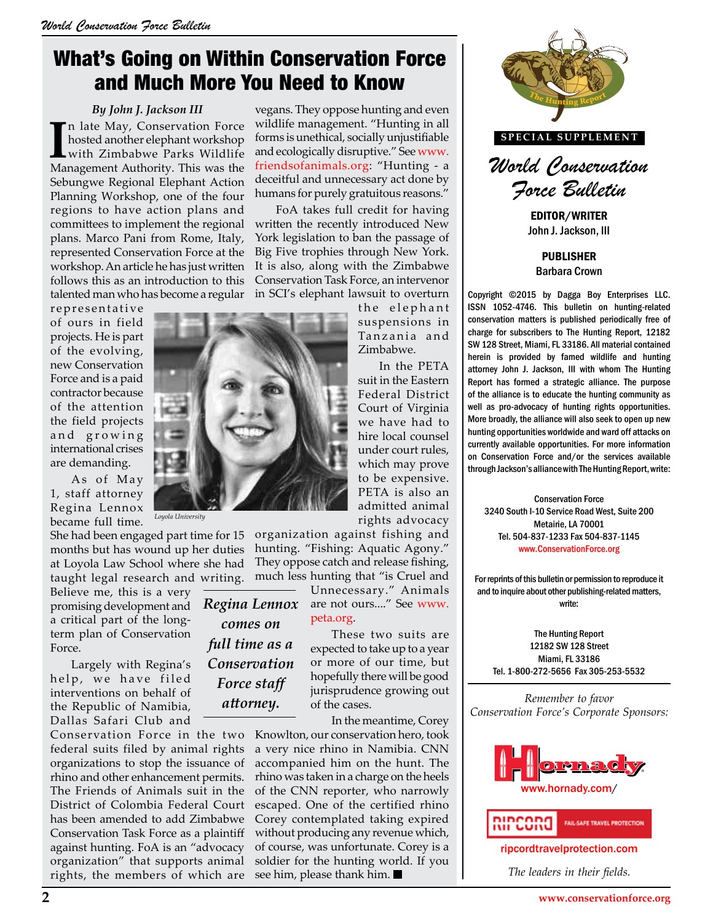## What's Going on Within Conservation Force and Much More You Need to Know

#### *By John J. Jackson III*

In late May, Conservation Force hosted another elephant workshop with Zimbabwe Parks Wildlife Management Authority. This was the n late May, Conservation Force hosted another elephant workshop with Zimbabwe Parks Wildlife Sebungwe Regional Elephant Action Planning Workshop, one of the four regions to have action plans and committees to implement the regional plans. Marco Pani from Rome, Italy, represented Conservation Force at the workshop. An article he has just written follows this as an introduction to this talented man who has become a regular

representative of ours in field projects. He is part of the evolving, new Conservation Force and is a paid contractor because of the attention the field projects and growing international crises are demanding.

As of May 1, staff attorney Regina Lennox became full time.

She had been engaged part time for 15 organization against fishing and months but has wound up her duties hunting. "Fishing: Aquatic Agony." at Loyola Law School where she had taught legal research and writing.

Believe me, this is a very promising development and a critical part of the longterm plan of Conservation Force.

Largely with Regina's help, we have filed interventions on behalf of the Republic of Namibia, Dallas Safari Club and

Conservation Force in the two federal suits filed by animal rights organizations to stop the issuance of rhino and other enhancement permits. The Friends of Animals suit in the District of Colombia Federal Court has been amended to add Zimbabwe Conservation Task Force as a plaintiff against hunting. FoA is an "advocacy organization" that supports animal rights, the members of which are

vegans. They oppose hunting and even wildlife management. "Hunting in all forms is unethical, socially unjustifiable and ecologically disruptive." See www. friendsofanimals.org: "Hunting - a deceitful and unnecessary act done by humans for purely gratuitous reasons."

FoA takes full credit for having written the recently introduced New York legislation to ban the passage of Big Five trophies through New York. It is also, along with the Zimbabwe Conservation Task Force, an intervenor in SCI's elephant lawsuit to overturn

the elephant suspensions in Tanzania and Zimbabwe.

In the PETA suit in the Eastern Federal District Court of Virginia we have had to hire local counsel under court rules, which may prove to be expensive. PETA is also an admitted animal rights advocacy

They oppose catch and release fishing, much less hunting that "is Cruel and

> Unnecessary." Animals are not ours...." See www. peta.org.

These two suits are expected to take up to a year or more of our time, but hopefully there will be good jurisprudence growing out of the cases.

In the meantime, Corey

Knowlton, our conservation hero, took a very nice rhino in Namibia. CNN accompanied him on the hunt. The rhino was taken in a charge on the heels of the CNN reporter, who narrowly escaped. One of the certified rhino Corey contemplated taking expired without producing any revenue which, of course, was unfortunate. Corey is a soldier for the hunting world. If you see him, please thank him.



**SPECIAL SUPPLEMENT**



EDITOR/WRITER John J. Jackson, III

> PUBLISHER Barbara Crown

Copyright ©2015 by Dagga Boy Enterprises LLC. ISSN 1052-4746. This bulletin on hunting-related conservation matters is published periodically free of charge for subscribers to The Hunting Report, 12182 SW 128 Street, Miami, FL 33186. All material contained herein is provided by famed wildlife and hunting attorney John J. Jackson, III with whom The Hunting Report has formed a strategic alliance. The purpose of the alliance is to educate the hunting community as well as pro-advocacy of hunting rights opportunities. More broadly, the alliance will also seek to open up new hunting opportunities worldwide and ward off attacks on currently available opportunities. For more information on Conservation Force and/or the services available through Jackson's alliance with The Hunting Report, write: which may prove on Conservation Force and/or the services available<br>to be expensive.

Conservation Force 3240 South I-10 Service Road West, Suite 200 Metairie, LA 70001 Tel. 504-837-1233 Fax 504-837-1145 www.ConservationForce.org rights advocacy<br>gainst fishing and<br>ne: Aquatic Agony." Tel. 504-837-1233 Fax 504-837-1145

> For reprints of this bulletin or permission to reproduce it and to inquire about other publishing-related matters, write:

The Hunting Report 12182 SW 128 Street Miami, FL 33186 Tel. 1-800-272-5656 Fax 305-253-5532

*Remember to favor Conservation Force's Corporate Sponsors:*





ripcordtravelprotection.com

*The leaders in their fields.*



*Loyola University*

*attorney.*

*Regina Lennox comes on full time as a Conservation Force staff*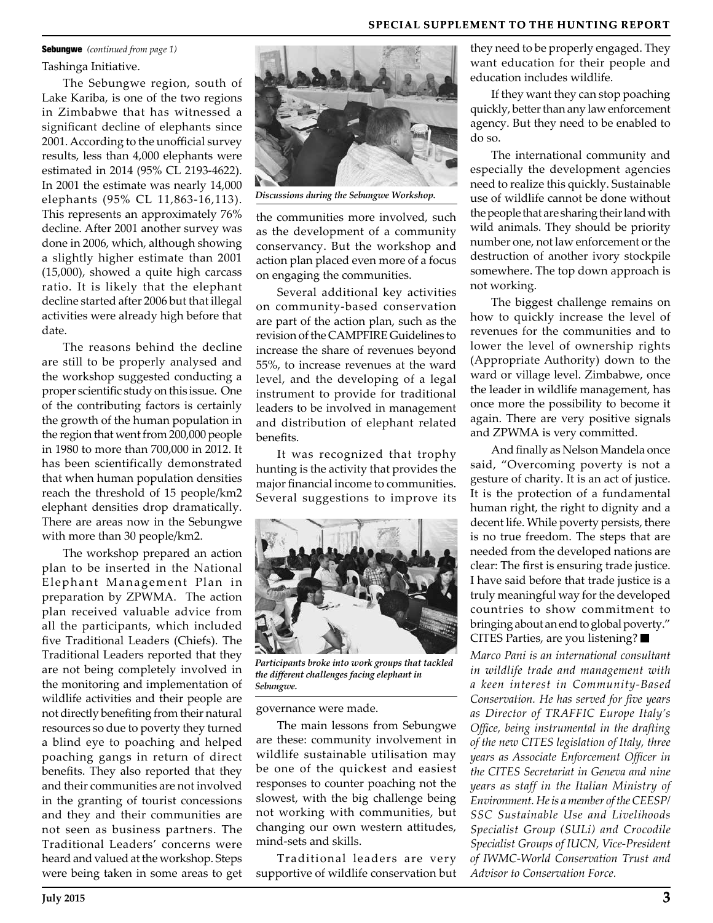#### **SPECIAL SUPPLEMENT TO THE HUNTING REPORT**

### Sebungwe *(continued from page 1)*

Tashinga Initiative.

The Sebungwe region, south of Lake Kariba, is one of the two regions in Zimbabwe that has witnessed a significant decline of elephants since 2001. According to the unofficial survey results, less than 4,000 elephants were estimated in 2014 (95% CL 2193-4622). In 2001 the estimate was nearly 14,000 elephants (95% CL 11,863-16,113). This represents an approximately 76% decline. After 2001 another survey was done in 2006, which, although showing a slightly higher estimate than 2001 (15,000), showed a quite high carcass ratio. It is likely that the elephant decline started after 2006 but that illegal activities were already high before that date.

The reasons behind the decline are still to be properly analysed and the workshop suggested conducting a proper scientific study on this issue. One of the contributing factors is certainly the growth of the human population in the region that went from 200,000 people in 1980 to more than 700,000 in 2012. It has been scientifically demonstrated that when human population densities reach the threshold of 15 people/km2 elephant densities drop dramatically. There are areas now in the Sebungwe with more than 30 people/km2.

The workshop prepared an action plan to be inserted in the National Elephant Management Plan in preparation by ZPWMA. The action plan received valuable advice from all the participants, which included five Traditional Leaders (Chiefs). The Traditional Leaders reported that they are not being completely involved in the monitoring and implementation of wildlife activities and their people are not directly benefiting from their natural resources so due to poverty they turned a blind eye to poaching and helped poaching gangs in return of direct benefits. They also reported that they and their communities are not involved in the granting of tourist concessions and they and their communities are not seen as business partners. The Traditional Leaders' concerns were heard and valued at the workshop. Steps were being taken in some areas to get



*Discussions during the Sebungwe Workshop.*

the communities more involved, such as the development of a community conservancy. But the workshop and action plan placed even more of a focus on engaging the communities.

Several additional key activities on community-based conservation are part of the action plan, such as the revision of the CAMPFIRE Guidelines to increase the share of revenues beyond 55%, to increase revenues at the ward level, and the developing of a legal instrument to provide for traditional leaders to be involved in management and distribution of elephant related benefits.

It was recognized that trophy hunting is the activity that provides the major financial income to communities. Several suggestions to improve its



*Participants broke into work groups that tackled the different challenges facing elephant in Sebungwe.*

governance were made.

The main lessons from Sebungwe are these: community involvement in wildlife sustainable utilisation may be one of the quickest and easiest responses to counter poaching not the slowest, with the big challenge being not working with communities, but changing our own western attitudes, mind-sets and skills.

Traditional leaders are very supportive of wildlife conservation but they need to be properly engaged. They want education for their people and education includes wildlife.

If they want they can stop poaching quickly, better than any law enforcement agency. But they need to be enabled to do so.

The international community and especially the development agencies need to realize this quickly. Sustainable use of wildlife cannot be done without the people that are sharing their land with wild animals. They should be priority number one, not law enforcement or the destruction of another ivory stockpile somewhere. The top down approach is not working.

The biggest challenge remains on how to quickly increase the level of revenues for the communities and to lower the level of ownership rights (Appropriate Authority) down to the ward or village level. Zimbabwe, once the leader in wildlife management, has once more the possibility to become it again. There are very positive signals and ZPWMA is very committed.

And finally as Nelson Mandela once said, "Overcoming poverty is not a gesture of charity. It is an act of justice. It is the protection of a fundamental human right, the right to dignity and a decent life. While poverty persists, there is no true freedom. The steps that are needed from the developed nations are clear: The first is ensuring trade justice. I have said before that trade justice is a truly meaningful way for the developed countries to show commitment to bringing about an end to global poverty." CITES Parties, are you listening?

*Marco Pani is an international consultant in wildlife trade and management with a keen interest in Community-Based Conservation. He has served for five years as Director of TRAFFIC Europe Italy's Office, being instrumental in the drafting of the new CITES legislation of Italy, three years as Associate Enforcement Officer in the CITES Secretariat in Geneva and nine years as staff in the Italian Ministry of Environment. He is a member of the CEESP/ SSC Sustainable Use and Livelihoods Specialist Group (SULi) and Crocodile Specialist Groups of IUCN, Vice-President of IWMC-World Conservation Trust and Advisor to Conservation Force.*